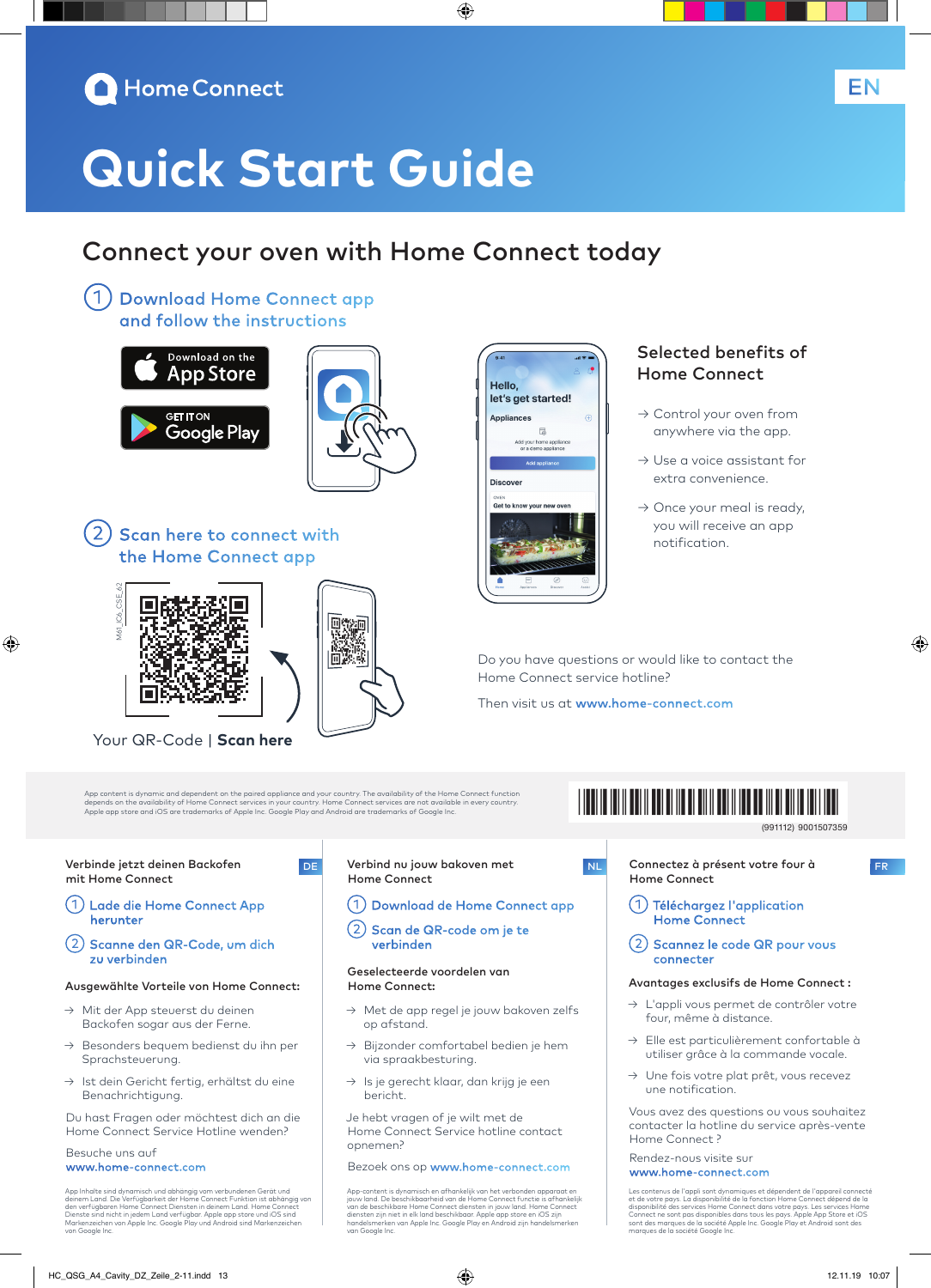

# **Quick Start Guide**

## Connect your oven with Home Connect today

◈

Hello.

**Appliances** 

**Discover** Get to know your n

let's get started!

 $\mathbb{R}$ home app<br>mo annlia

①Download Home Connect app and follow the instructions





2) Scan here to connect with the Home Connect app



⊕

Your QR-Code | **Scan here**

App content is dynamic and dependent on the paired appliance and your country. The availability of the Home Connect function<br>depends on the availability of Home Connect services in your country. Home Connect services are n

۱m

#### Verbinde jetzt deinen Backofen mit Home Connect

- ①Lade die Home Connect App herunter
- ②Scanne den QR-Code, um dich zu verbinden

#### Ausgewählte Vorteile von Home Connect:

- → Mit der App steuerst du deinen Backofen sogar aus der Ferne.
- → Besonders bequem bedienst du ihn per Sprachsteuerung.
- → Ist dein Gericht fertig, erhältst du eine Benachrichtigung.

Du hast Fragen oder möchtest dich an die Home Connect Service Hotline wenden?

#### Besuche uns auf www.home-connect.com

App Inhalte sind dynamisch und abhängig vom verbundenen Gerät und<br>deinem Land. Die Verfügbarkeit der Home Connect Funktion ist abhängig von<br>den verfügbaren Home Connect Diensten in deinem Land. Home Connect<br>Dienste sind ni van Kenzelenen<br>von Google Inc

#### DE Verbind nu jouw bakoven met Home Connect

- ①Download de Home Connect app
- ②Scan de QR-code om je te verbinden

#### Geselecteerde voordelen van Home Connect:

- → Met de app regel je jouw bakoven zelfs op afstand.
- Bijzonder comfortabel bedien je hem via spraakbesturing.
- → Is je gerecht klaar, dan krijg je een bericht.

Je hebt vragen of je wilt met de Home Connect Service hotline contact opnemen?

Bezoek ons op www.home-connect.com

App-content is dynamisch en afhankelijk van het verbonden apparaat en jouw land. De beschikbaarheid van de Home Connect functie is afhankelijk van de beschikbare Home Connect diensten in jouw land. Home Connect<br>diensten zijn niet in elk land beschikbaar. Apple app store en iOS zijn<br>handelsmerken van Apple Inc. Google Play en Android zijn handelsmerken van Google Inc.

### Selected benefits of Home Connect

- → Control your oven from anywhere via the app.
- → Use a voice assistant for extra convenience.
- $\rightarrow$  Once your meal is ready, you will receive an app notification.

Do you have questions or would like to contact the Home Connect service hotline?

Then visit us at www.home-connect.com

## \*9001507359\*

9001507359 (991112)

◈

NL Connectez à présent votre four à FR Home Connect

- ①Téléchargez l'application Home Connect
- ②Scannez le code QR pour vous connecter

#### Avantages exclusifs de Home Connect :

- → L'appli vous permet de contrôler votre four, même à distance.
- → Elle est particulièrement confortable à utiliser grâce à la commande vocale.
- → Une fois votre plat prêt, vous recevez une notification.

Vous avez des questions ou vous souhaitez contacter la hotline du service après-vente Home Connect ?

#### Rendez-nous visite sur www.home-connect.com

Les contenus de l'appli sont dynamiques et dépendent de l'appareil connecté<br>et de votre pays. La disponibilité de la fonction Home Connect dépend de la<br>disponibilité des services Home Connect dans votre pays. Les services des marques de la sociece A<br>ues de la société Google Inc

EN